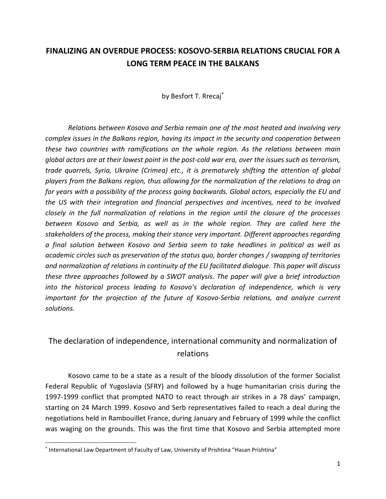# **FINALIZING AN OVERDUE PROCESS: KOSOVO-SERBIA RELATIONS CRUCIAL FOR A LONG TERM PEACE IN THE BALKANS**

by Besfort T. Rrecaj\*

*Relations between Kosovo and Serbia remain one of the most heated and involving very complex issues in the Balkans region, having its impact in the security and cooperation between these two countries with ramifications on the whole region. As the relations between main global actors are at their lowest point in the post-cold war era, over the issues such as terrorism, trade quarrels, Syria, Ukraine (Crimea) etc., it is prematurely shifting the attention of global players from the Balkans region, thus allowing for the normalization of the relations to drag on for years with a possibility of the process going backwards. Global actors, especially the EU and the US with their integration and financial perspectives and incentives, need to be involved closely in the full normalization of relations in the region until the closure of the processes between Kosovo and Serbia, as well as in the whole region. They are called here the stakeholders of the process, making their stance very important. Different approaches regarding a final solution between Kosovo and Serbia seem to take headlines in political as well as academic circles such as preservation of the status quo, border changes / swapping of territories and normalization of relations in continuity of the EU facilitated dialogue. This paper will discuss these three approaches followed by a SWOT analysis. The paper will give a brief introduction into the historical process leading to Kosovo's declaration of independence, which is very important for the projection of the future of Kosovo-Serbia relations, and analyze current solutions.*

# The declaration of independence, international community and normalization of relations

Kosovo came to be a state as a result of the bloody dissolution of the former Socialist Federal Republic of Yugoslavia (SFRY) and followed by a huge humanitarian crisis during the 1997-1999 conflict that prompted NATO to react through air strikes in a 78 days' campaign, starting on 24 March 1999. Kosovo and Serb representatives failed to reach a deal during the negotiations held in Rambouillet France, during January and February of 1999 while the conflict was waging on the grounds. This was the first time that Kosovo and Serbia attempted more

<sup>\*</sup> International Law Department of Faculty of Law, University of Prishtina "Hasan Prishtina"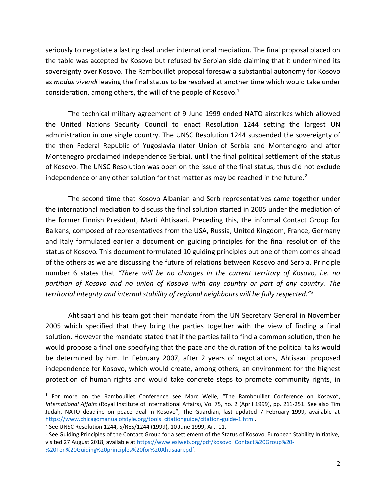seriously to negotiate a lasting deal under international mediation. The final proposal placed on the table was accepted by Kosovo but refused by Serbian side claiming that it undermined its sovereignty over Kosovo. The Rambouillet proposal foresaw a substantial autonomy for Kosovo as *modus vivendi* leaving the final status to be resolved at another time which would take under consideration, among others, the will of the people of Kosovo. $1$ 

The technical military agreement of 9 June 1999 ended NATO airstrikes which allowed the United Nations Security Council to enact Resolution 1244 setting the largest UN administration in one single country. The UNSC Resolution 1244 suspended the sovereignty of the then Federal Republic of Yugoslavia (later Union of Serbia and Montenegro and after Montenegro proclaimed independence Serbia), until the final political settlement of the status of Kosovo. The UNSC Resolution was open on the issue of the final status, thus did not exclude independence or any other solution for that matter as may be reached in the future.<sup>2</sup>

The second time that Kosovo Albanian and Serb representatives came together under the international mediation to discuss the final solution started in 2005 under the mediation of the former Finnish President, Marti Ahtisaari. Preceding this, the informal Contact Group for Balkans, composed of representatives from the USA, Russia, United Kingdom, France, Germany and Italy formulated earlier a document on guiding principles for the final resolution of the status of Kosovo. This document formulated 10 guiding principles but one of them comes ahead of the others as we are discussing the future of relations between Kosovo and Serbia. Principle number 6 states that *"There will be no changes in the current territory of Kosovo, i.e. no partition of Kosovo and no union of Kosovo with any country or part of any country. The territorial integrity and internal stability of regional neighbours will be fully respected."*<sup>3</sup>

Ahtisaari and his team got their mandate from the UN Secretary General in November 2005 which specified that they bring the parties together with the view of finding a final solution. However the mandate stated that if the parties fail to find a common solution, then he would propose a final one specifying that the pace and the duration of the political talks would be determined by him. In February 2007, after 2 years of negotiations, Ahtisaari proposed independence for Kosovo, which would create, among others, an environment for the highest protection of human rights and would take concrete steps to promote community rights, in

<sup>&</sup>lt;sup>1</sup> For more on the Rambouillet Conference see Marc Welle, "The Rambouillet Conference on Kosovo", *International Affairs* (Royal Institute of International Affairs), Vol 75, no. 2 (April 1999), pp. 211-251. See also Tim Judah, NATO deadline on peace deal in Kosovo", The Guardian, last updated 7 February 1999, available at [https://www.chicagomanualofstyle.org/tools\\_citationguide/citation-guide-1.html.](https://www.chicagomanualofstyle.org/tools_citationguide/citation-guide-1.html)

<sup>2</sup> See UNSC Resolution 1244, S/RES/1244 (1999), 10 June 1999, Art. 11.

<sup>&</sup>lt;sup>3</sup> See Guiding Principles of the Contact Group for a settlement of the Status of Kosovo, European Stability Initiative, visited 27 August 2018, available a[t https://www.esiweb.org/pdf/kosovo\\_Contact%20Group%20-](https://www.esiweb.org/pdf/kosovo_Contact%20Group%20-%20Ten%20Guiding%20principles%20for%20Ahtisaari.pdf) [%20Ten%20Guiding%20principles%20for%20Ahtisaari.pdf](https://www.esiweb.org/pdf/kosovo_Contact%20Group%20-%20Ten%20Guiding%20principles%20for%20Ahtisaari.pdf).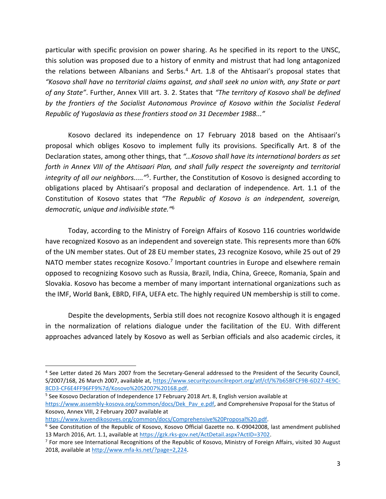particular with specific provision on power sharing. As he specified in its report to the UNSC, this solution was proposed due to a history of enmity and mistrust that had long antagonized the relations between Albanians and Serbs.<sup>4</sup> Art. 1.8 of the Ahtisaari's proposal states that *"Kosovo shall have no territorial claims against, and shall seek no union with, any State or part of any State"*. Further, Annex VIII art. 3. 2. States that *"The territory of Kosovo shall be defined by the frontiers of the Socialist Autonomous Province of Kosovo within the Socialist Federal Republic of Yugoslavia as these frontiers stood on 31 December 1988..."*

Kosovo declared its independence on 17 February 2018 based on the Ahtisaari's proposal which obliges Kosovo to implement fully its provisions. Specifically Art. 8 of the Declaration states, among other things, that *"…Kosovo shall have its international borders as set forth in Annex VIII of the Ahtisaari Plan, and shall fully respect the sovereignty and territorial*  integrity of all our neighbors.....<sup>"5</sup>. Further, the Constitution of Kosovo is designed according to obligations placed by Ahtisaari's proposal and declaration of independence. Art. 1.1 of the Constitution of Kosovo states that *"The Republic of Kosovo is an independent, sovereign, democratic, unique and indivisible state."*<sup>6</sup>

Today, according to the Ministry of Foreign Affairs of Kosovo 116 countries worldwide have recognized Kosovo as an independent and sovereign state. This represents more than 60% of the UN member states. Out of 28 EU member states, 23 recognize Kosovo, while 25 out of 29 NATO member states recognize Kosovo.<sup>7</sup> Important countries in Europe and elsewhere remain opposed to recognizing Kosovo such as Russia, Brazil, India, China, Greece, Romania, Spain and Slovakia. Kosovo has become a member of many important international organizations such as the IMF, World Bank, EBRD, FIFA, UEFA etc. The highly required UN membership is still to come.

Despite the developments, Serbia still does not recognize Kosovo although it is engaged in the normalization of relations dialogue under the facilitation of the EU. With different approaches advanced lately by Kosovo as well as Serbian officials and also academic circles, it

[https://www.kuvendikosoves.org/common/docs/Comprehensive%20Proposal%20.pdf.](https://www.kuvendikosoves.org/common/docs/Comprehensive%20Proposal%20.pdf)

<sup>&</sup>lt;sup>4</sup> See Letter dated 26 Mars 2007 from the Secretary-General addressed to the President of the Security Council, S/2007/168, 26 March 2007, available at, [https://www.securitycouncilreport.org/atf/cf/%7b65BFCF9B-6D27-4E9C-](https://www.securitycouncilreport.org/atf/cf/%7b65BFCF9B-6D27-4E9C-8CD3-CF6E4FF96FF9%7d/Kosovo%20S2007%20168.pdf)[8CD3-CF6E4FF96FF9%7d/Kosovo%20S2007%20168.pdf.](https://www.securitycouncilreport.org/atf/cf/%7b65BFCF9B-6D27-4E9C-8CD3-CF6E4FF96FF9%7d/Kosovo%20S2007%20168.pdf)

<sup>&</sup>lt;sup>5</sup> See Kosovo Declaration of Independence 17 February 2018 Art. 8, English version available at [https://www.assembly-kosova.org/common/docs/Dek\\_Pav\\_e.pdf,](https://www.assembly-kosova.org/common/docs/Dek_Pav_e.pdf) and Comprehensive Proposal for the Status of Kosovo, Annex VIII, 2 February 2007 available at

<sup>&</sup>lt;sup>6</sup> See Constitution of the Republic of Kosovo, Kosovo Official Gazette no. K-09042008, last amendment published 13 March 2016, Art. 1.1, available a[t https://gzk.rks-gov.net/ActDetail.aspx?ActID=3702.](https://gzk.rks-gov.net/ActDetail.aspx?ActID=3702)

<sup>&</sup>lt;sup>7</sup> For more see International Recognitions of the Republic of Kosovo, Ministry of Foreign Affairs, visited 30 August 2018, available a[t http://www.mfa-ks.net/?page=2,224](http://www.mfa-ks.net/?page=2,224).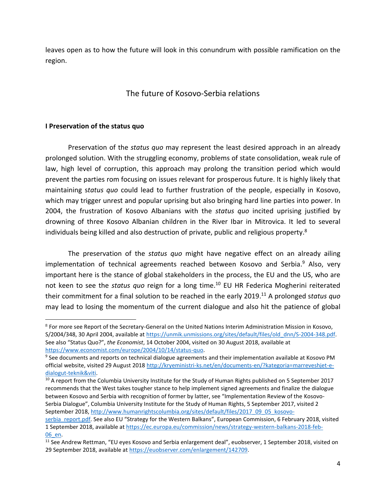leaves open as to how the future will look in this conundrum with possible ramification on the region.

# The future of Kosovo-Serbia relations

#### **I Preservation of the status quo**

Preservation of the *status quo* may represent the least desired approach in an already prolonged solution. With the struggling economy, problems of state consolidation, weak rule of law, high level of corruption, this approach may prolong the transition period which would prevent the parties rom focusing on issues relevant for prosperous future. It is highly likely that maintaining s*tatus quo* could lead to further frustration of the people, especially in Kosovo, which may trigger unrest and popular uprising but also bringing hard line parties into power. In 2004, the frustration of Kosovo Albanians with the *status quo* incited uprising justified by drowning of three Kosovo Albanian children in the River Ibar in Mitrovica. It led to several individuals being killed and also destruction of private, public and religious property.<sup>8</sup>

The preservation of the *status quo* might have negative effect on an already ailing implementation of technical agreements reached between Kosovo and Serbia.<sup>9</sup> Also, very important here is the stance of global stakeholders in the process, the EU and the US, who are not keen to see the *status quo* reign for a long time. <sup>10</sup> EU HR Federica Mogherini reiterated their commitment for a final solution to be reached in the early 2019.<sup>11</sup> A prolonged s*tatus quo* may lead to losing the momentum of the current dialogue and also hit the patience of global

<sup>10</sup> A report from the Columbia University Institute for the Study of Human Rights published on 5 September 2017 recommends that the West takes tougher stance to help implement signed agreements and finalize the dialogue between Kosovo and Serbia with recognition of former by latter, see "Implementation Review of the Kosovo-Serbia Dialogue", Columbia University Institute for the Study of Human Rights, 5 September 2017, visited 2 September 2018, [http://www.humanrightscolumbia.org/sites/default/files/2017\\_09\\_05\\_kosovo-](http://www.humanrightscolumbia.org/sites/default/files/2017_09_05_kosovo-serbia_report.pdf)

<sup>&</sup>lt;sup>8</sup> For more see Report of the Secretary-General on the United Nations Interim Administration Mission in Kosovo, S/2004/348, 30 April 2004, available at [https://unmik.unmissions.org/sites/default/files/old\\_dnn/S-2004-348.pdf.](https://unmik.unmissions.org/sites/default/files/old_dnn/S-2004-348.pdf) See also "Status Quo?", *the Economist*, 14 October 2004, visited on 30 August 2018, available at [https://www.economist.com/europe/2004/10/14/status-quo.](https://www.economist.com/europe/2004/10/14/status-quo)

<sup>&</sup>lt;sup>9</sup> See documents and reports on technical dialogue agreements and their implementation available at Kosovo PM official website, visited 29 August 201[8 http://kryeministri-ks.net/en/documents-en/?kategoria=marreveshjet-e](http://kryeministri-ks.net/en/documents-en/?kategoria=marreveshjet-e-dialogut-teknik&viti)[dialogut-teknik&viti.](http://kryeministri-ks.net/en/documents-en/?kategoria=marreveshjet-e-dialogut-teknik&viti)

serbia report.pdf. See also EU "Strategy for the Western Balkans", European Commission, 6 February 2018, visited 1 September 2018, available at [https://ec.europa.eu/commission/news/strategy-western-balkans-2018-feb-](https://ec.europa.eu/commission/news/strategy-western-balkans-2018-feb-06_en)[06\\_en.](https://ec.europa.eu/commission/news/strategy-western-balkans-2018-feb-06_en) 

<sup>&</sup>lt;sup>11</sup> See Andrew Rettman, "EU eyes Kosovo and Serbia enlargement deal", euobserver, 1 September 2018, visited on 29 September 2018, available at [https://euobserver.com/enlargement/142709.](https://euobserver.com/enlargement/142709)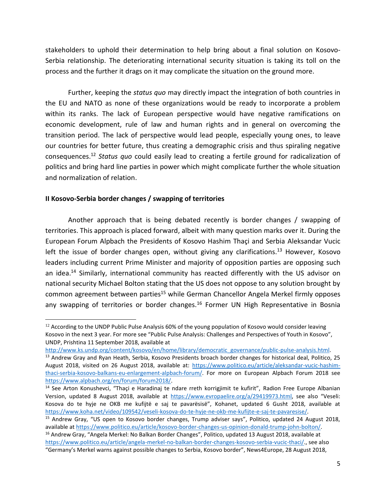stakeholders to uphold their determination to help bring about a final solution on Kosovo-Serbia relationship. The deteriorating international security situation is taking its toll on the process and the further it drags on it may complicate the situation on the ground more.

Further, keeping the *status quo* may directly impact the integration of both countries in the EU and NATO as none of these organizations would be ready to incorporate a problem within its ranks. The lack of European perspective would have negative ramifications on economic development, rule of law and human rights and in general on overcoming the transition period. The lack of perspective would lead people, especially young ones, to leave our countries for better future, thus creating a demographic crisis and thus spiraling negative consequences. <sup>12</sup> *Status quo* could easily lead to creating a fertile ground for radicalization of politics and bring hard line parties in power which might complicate further the whole situation and normalization of relation.

#### **II Kosovo-Serbia border changes / swapping of territories**

Another approach that is being debated recently is border changes / swapping of territories. This approach is placed forward, albeit with many question marks over it. During the European Forum Alpbach the Presidents of Kosovo Hashim Thaçi and Serbia Aleksandar Vucic left the issue of border changes open, without giving any clarifications.<sup>13</sup> However, Kosovo leaders including current Prime Minister and majority of opposition parties are opposing such an idea.<sup>14</sup> Similarly, international community has reacted differently with the US advisor on national security Michael Bolton stating that the US does not oppose to any solution brought by common agreement between parties<sup>15</sup> while German Chancellor Angela Merkel firmly opposes any swapping of territories or border changes.<sup>16</sup> Former UN High Representative in Bosnia

 $12$  According to the UNDP Public Pulse Analysis 60% of the young population of Kosovo would consider leaving Kosovo in the next 3 year. For more see "Public Pulse Analysis: Challenges and Perspectives of Youth in Kosovo", UNDP, Prishtina 11 September 2018, available at

[http://www.ks.undp.org/content/kosovo/en/home/library/democratic\\_governance/public-pulse-analysis.html.](http://www.ks.undp.org/content/kosovo/en/home/library/democratic_governance/public-pulse-analysis.html)

<sup>&</sup>lt;sup>13</sup> Andrew Gray and Ryan Heath, Serbia, Kosovo Presidents broach border changes for historical deal, Politico, 25 August 2018, visited on 26 August 2018, available at: [https://www.politico.eu/article/aleksandar-vucic-hashim](https://www.politico.eu/article/aleksandar-vucic-hashim-thaci-serbia-kosovo-balkans-eu-enlargement-alpbach-forum/)[thaci-serbia-kosovo-balkans-eu-enlargement-alpbach-forum/.](https://www.politico.eu/article/aleksandar-vucic-hashim-thaci-serbia-kosovo-balkans-eu-enlargement-alpbach-forum/) For more on European Alpbach Forum 2018 see [https://www.alpbach.org/en/forum/forum2018/.](https://www.alpbach.org/en/forum/forum2018/) 

<sup>&</sup>lt;sup>14</sup> See Arton Konushevci, "Thaçi e Haradinaj te ndare rreth korrigjimit te kufirit", Radion Free Europe Albanian Version, updated 8 August 2018, available at <https://www.evropaelire.org/a/29419973.html>, see also "Veseli: Kosova do te hyje ne OKB me kufijtë e saj te pavarësisë", Kohanet, updated 6 Gusht 2018, available at [https://www.koha.net/video/109542/veseli-kosova-do-te-hyje-ne-okb-me-kufijte-e-saj-te-pavaresise/.](https://www.koha.net/video/109542/veseli-kosova-do-te-hyje-ne-okb-me-kufijte-e-saj-te-pavaresise/)

<sup>&</sup>lt;sup>15</sup> Andrew Gray, "US open to Kosovo border changes, Trump adviser says", Politico, updated 24 August 2018, available a[t https://www.politico.eu/article/kosovo-border-changes-us-opinion-donald-trump-john-bolton/.](https://www.politico.eu/article/kosovo-border-changes-us-opinion-donald-trump-john-bolton/) <sup>16</sup> Andrew Gray, "Angela Merkel: No Balkan Border Changes", Politico, updated 13 August 2018, available at [https://www.politico.eu/article/angela-merkel-no-balkan-border-changes-kosovo-serbia-vucic-thaci/.,](https://www.politico.eu/article/angela-merkel-no-balkan-border-changes-kosovo-serbia-vucic-thaci/) see also

<sup>&</sup>quot;Germany's Merkel warns against possible changes to Serbia, Kosovo border", News4Europe, 28 August 2018,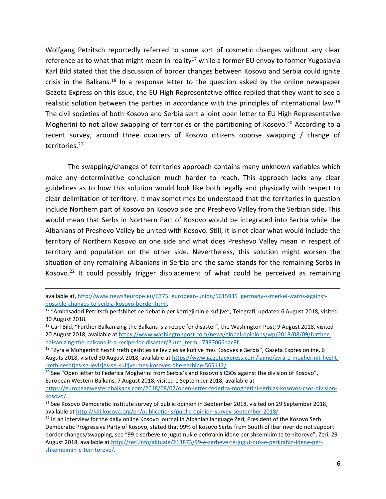Wolfgang Petritsch reportedly referred to some sort of cosmetic changes without any clear reference as to what that might mean in reality<sup>17</sup> while a former EU envoy to former Yugoslavia Karl Bild stated that the discussion of border changes between Kosovo and Serbia could ignite crisis in the Balkans.<sup>18</sup> In a response letter to the question asked by the online newspaper Gazeta Express on this issue, the EU High Representative office replied that they want to see a realistic solution between the parties in accordance with the principles of international law.<sup>19</sup> The civil societies of both Kosovo and Serbia sent a joint open letter to EU High Representative Mogherini to not allow swapping of territories or the partitioning of Kosovo.<sup>20</sup> According to a recent survey, around three quarters of Kosovo citizens oppose swapping / change of territories.<sup>21</sup>

The swapping/changes of territories approach contains many unknown variables which make any determinative conclusion much harder to reach. This approach lacks any clear guidelines as to how this solution would look like both legally and physically with respect to clear delimitation of territory. It may sometimes be understood that the territories in question include Northern part of Kosovo on Kosovo side and Preshevo Valley from the Serbian side. This would mean that Serbs in Northern Part of Kosovo would be integrated into Serbia while the Albanians of Preshevo Valley be united with Kosovo. Still, it is not clear what would include the territory of Northern Kosovo on one side and what does Preshevo Valley mean in respect of territory and population on the other side. Nevertheless, this solution might worsen the situation of any remaining Albanians in Serbia and the same stands for the remaining Serbs in Kosovo.<sup>22</sup> It could possibly trigger displacement of what could be perceived as remaining

available at, [http://www.news4europe.eu/6375\\_european-union/5615935\\_germany-s-merkel-warns-against](http://www.news4europe.eu/6375_european-union/5615935_germany-s-merkel-warns-against-possible-changes-to-serbia-kosovo-border.html)[possible-changes-to-serbia-kosovo-border.html.](http://www.news4europe.eu/6375_european-union/5615935_germany-s-merkel-warns-against-possible-changes-to-serbia-kosovo-border.html)

<sup>17</sup> "Ambasadori Petritsch perfshihet ne debatin per korrigjimin e kufijve", Telegrafi, updated 6 August 2018, visited 30 August 2018.

 $18$  Carl Bild, "Further Balkanizing the Balkans is a recipe for disaster", the Washington Post, 9 August 2018, visited 20 August 2018, available a[t https://www.washingtonpost.com/news/global-opinions/wp/2018/08/09/further](https://www.washingtonpost.com/news/global-opinions/wp/2018/08/09/further-balkanizing-the-balkans-is-a-recipe-for-disaster/?utm_term=.7387066dac8f)[balkanizing-the-balkans-is-a-recipe-for-disaster/?utm\\_term=.7387066dac8f.](https://www.washingtonpost.com/news/global-opinions/wp/2018/08/09/further-balkanizing-the-balkans-is-a-recipe-for-disaster/?utm_term=.7387066dac8f)

<sup>&</sup>lt;sup>19</sup> "Zyra e Mohgerinit hesht rreth çeshtjes se levizjes se kufijve mes Kosoves e Serbis", Gazeta Expres online, 6 Auguts 2018, visited 30 August 2018, available at [https://www.gazetaexpress.com/lajme/zyra-e-mogherinit-hesht](https://www.gazetaexpress.com/lajme/zyra-e-mogherinit-hesht-rreth-ceshtjes-se-levizjes-se-kufijve-mes-kosoves-dhe-serbine-565112/)[rreth-ceshtjes-se-levizjes-se-kufijve-mes-kosoves-dhe-serbine-565112/.](https://www.gazetaexpress.com/lajme/zyra-e-mogherinit-hesht-rreth-ceshtjes-se-levizjes-se-kufijve-mes-kosoves-dhe-serbine-565112/) 

<sup>&</sup>lt;sup>20</sup> See "Open letter to Federica Mogherini from Serbia's and Kosovo's CSOs against the division of Kosovo", European Western Balkans, 7 August 2018, visited 1 September 2018, available at

[https://europeanwesternbalkans.com/2018/08/07/open-letter-federica-mogherini-serbias-kosovos-csos-division](https://europeanwesternbalkans.com/2018/08/07/open-letter-federica-mogherini-serbias-kosovos-csos-division-kosovo/)[kosovo/.](https://europeanwesternbalkans.com/2018/08/07/open-letter-federica-mogherini-serbias-kosovos-csos-division-kosovo/)

<sup>&</sup>lt;sup>21</sup> See Kosovo Democratic Institute survey of public opinion in September 2018, visited on 29 September 2018, available a[t http://kdi-kosova.org/en/publications/public-opinion-survey-september-2018/.](http://kdi-kosova.org/en/publications/public-opinion-survey-september-2018/)

<sup>&</sup>lt;sup>22</sup> In an interview for the daily online Kosovo journal in Albanian language Zeri, President of the Kosovo Serb Democratic Progressive Party of Kosovo, stated that 99% of Kosovo Serbs from South of Ibar river do not support border changes/swapping, see "99 e serbeve te jugut nuk e perkrahin idene per shkembim te territoreve", Zeri, 29 August 2018, available at [http://zeri.info/aktuale/213873/99-e-serbeve-te-jugut-nuk-e-perkrahin-idene-per](http://zeri.info/aktuale/213873/99-e-serbeve-te-jugut-nuk-e-perkrahin-idene-per-shkembimin-e-territoreve/)[shkembimin-e-territoreve/.](http://zeri.info/aktuale/213873/99-e-serbeve-te-jugut-nuk-e-perkrahin-idene-per-shkembimin-e-territoreve/)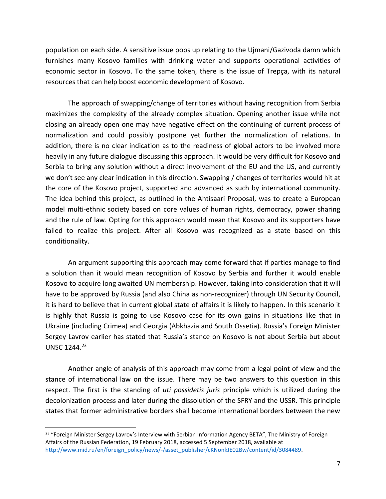population on each side. A sensitive issue pops up relating to the Ujmani/Gazivoda damn which furnishes many Kosovo families with drinking water and supports operational activities of economic sector in Kosovo. To the same token, there is the issue of Trepça, with its natural resources that can help boost economic development of Kosovo.

The approach of swapping/change of territories without having recognition from Serbia maximizes the complexity of the already complex situation. Opening another issue while not closing an already open one may have negative effect on the continuing of current process of normalization and could possibly postpone yet further the normalization of relations. In addition, there is no clear indication as to the readiness of global actors to be involved more heavily in any future dialogue discussing this approach. It would be very difficult for Kosovo and Serbia to bring any solution without a direct involvement of the EU and the US, and currently we don't see any clear indication in this direction. Swapping / changes of territories would hit at the core of the Kosovo project, supported and advanced as such by international community. The idea behind this project, as outlined in the Ahtisaari Proposal, was to create a European model multi-ethnic society based on core values of human rights, democracy, power sharing and the rule of law. Opting for this approach would mean that Kosovo and its supporters have failed to realize this project. After all Kosovo was recognized as a state based on this conditionality.

An argument supporting this approach may come forward that if parties manage to find a solution than it would mean recognition of Kosovo by Serbia and further it would enable Kosovo to acquire long awaited UN membership. However, taking into consideration that it will have to be approved by Russia (and also China as non-recognizer) through UN Security Council, it is hard to believe that in current global state of affairs it is likely to happen. In this scenario it is highly that Russia is going to use Kosovo case for its own gains in situations like that in Ukraine (including Crimea) and Georgia (Abkhazia and South Ossetia). Russia's Foreign Minister Sergey Lavrov earlier has stated that Russia's stance on Kosovo is not about Serbia but about UNSC 1244.<sup>23</sup>

Another angle of analysis of this approach may come from a legal point of view and the stance of international law on the issue. There may be two answers to this question in this respect. The first is the standing of *uti possidetis juris* principle which is utilized during the decolonization process and later during the dissolution of the SFRY and the USSR. This principle states that former administrative borders shall become international borders between the new

<sup>&</sup>lt;sup>23</sup> "Foreign Minister Sergey Lavrov's Interview with Serbian Information Agency BETA", The Ministry of Foreign Affairs of the Russian Federation, 19 February 2018, accessed 5 September 2018, available at [http://www.mid.ru/en/foreign\\_policy/news/-/asset\\_publisher/cKNonkJE02Bw/content/id/3084489](http://www.mid.ru/en/foreign_policy/news/-/asset_publisher/cKNonkJE02Bw/content/id/3084489).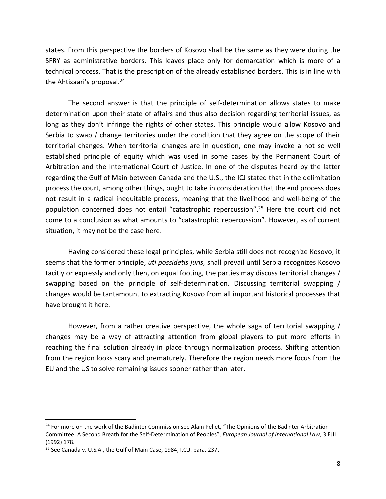states. From this perspective the borders of Kosovo shall be the same as they were during the SFRY as administrative borders. This leaves place only for demarcation which is more of a technical process. That is the prescription of the already established borders. This is in line with the Ahtisaari's proposal.<sup>24</sup>

The second answer is that the principle of self-determination allows states to make determination upon their state of affairs and thus also decision regarding territorial issues, as long as they don't infringe the rights of other states. This principle would allow Kosovo and Serbia to swap / change territories under the condition that they agree on the scope of their territorial changes. When territorial changes are in question, one may invoke a not so well established principle of equity which was used in some cases by the Permanent Court of Arbitration and the International Court of Justice. In one of the disputes heard by the latter regarding the Gulf of Main between Canada and the U.S., the ICJ stated that in the delimitation process the court, among other things, ought to take in consideration that the end process does not result in a radical inequitable process, meaning that the livelihood and well-being of the population concerned does not entail "catastrophic repercussion". <sup>25</sup> Here the court did not come to a conclusion as what amounts to "catastrophic repercussion". However, as of current situation, it may not be the case here.

Having considered these legal principles, while Serbia still does not recognize Kosovo, it seems that the former principle, *uti possidetis juris,* shall prevail until Serbia recognizes Kosovo tacitly or expressly and only then, on equal footing, the parties may discuss territorial changes / swapping based on the principle of self-determination. Discussing territorial swapping / changes would be tantamount to extracting Kosovo from all important historical processes that have brought it here.

However, from a rather creative perspective, the whole saga of territorial swapping / changes may be a way of attracting attention from global players to put more efforts in reaching the final solution already in place through normalization process. Shifting attention from the region looks scary and prematurely. Therefore the region needs more focus from the EU and the US to solve remaining issues sooner rather than later.

<sup>&</sup>lt;sup>24</sup> For more on the work of the Badinter Commission see Alain Pellet, "The Opinions of the Badinter Arbitration Committee: A Second Breath for the Self-Determination of Peoples", *European Journal of International Law*, 3 EJIL (1992) 178.

<sup>&</sup>lt;sup>25</sup> See Canada v. U.S.A., the Gulf of Main Case, 1984, I.C.J. para. 237.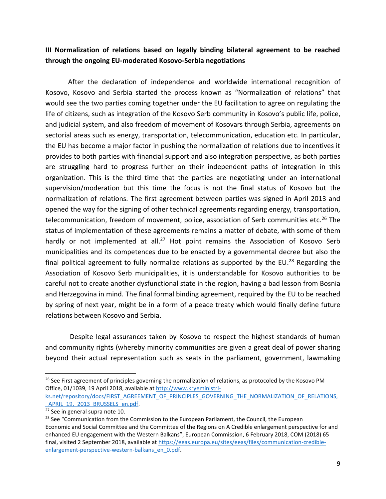# **III Normalization of relations based on legally binding bilateral agreement to be reached through the ongoing EU-moderated Kosovo-Serbia negotiations**

After the declaration of independence and worldwide international recognition of Kosovo, Kosovo and Serbia started the process known as "Normalization of relations" that would see the two parties coming together under the EU facilitation to agree on regulating the life of citizens, such as integration of the Kosovo Serb community in Kosovo's public life, police, and judicial system, and also freedom of movement of Kosovars through Serbia, agreements on sectorial areas such as energy, transportation, telecommunication, education etc. In particular, the EU has become a major factor in pushing the normalization of relations due to incentives it provides to both parties with financial support and also integration perspective, as both parties are struggling hard to progress further on their independent paths of integration in this organization. This is the third time that the parties are negotiating under an international supervision/moderation but this time the focus is not the final status of Kosovo but the normalization of relations. The first agreement between parties was signed in April 2013 and opened the way for the signing of other technical agreements regarding energy, transportation, telecommunication, freedom of movement, police, association of Serb communities etc.<sup>26</sup> The status of implementation of these agreements remains a matter of debate, with some of them hardly or not implemented at all.<sup>27</sup> Hot point remains the Association of Kosovo Serb municipalities and its competences due to be enacted by a governmental decree but also the final political agreement to fully normalize relations as supported by the EU.<sup>28</sup> Regarding the Association of Kosovo Serb municipalities, it is understandable for Kosovo authorities to be careful not to create another dysfunctional state in the region, having a bad lesson from Bosnia and Herzegovina in mind. The final formal binding agreement, required by the EU to be reached by spring of next year, might be in a form of a peace treaty which would finally define future relations between Kosovo and Serbia.

Despite legal assurances taken by Kosovo to respect the highest standards of human and community rights (whereby minority communities are given a great deal of power sharing beyond their actual representation such as seats in the parliament, government, lawmaking

<sup>&</sup>lt;sup>26</sup> See First agreement of principles governing the normalization of relations, as protocoled by the Kosovo PM Office, 01/1039, 19 April 2018, available a[t http://www.kryeministri-](http://www.kryeministri-ks.net/repository/docs/FIRST_AGREEMENT_OF_PRINCIPLES_GOVERNING_THE_NORMALIZATION_OF_RELATIONS,_APRIL_19,_2013_BRUSSELS_en.pdf)

[ks.net/repository/docs/FIRST\\_AGREEMENT\\_OF\\_PRINCIPLES\\_GOVERNING\\_THE\\_NORMALIZATION\\_OF\\_RELATIONS,](http://www.kryeministri-ks.net/repository/docs/FIRST_AGREEMENT_OF_PRINCIPLES_GOVERNING_THE_NORMALIZATION_OF_RELATIONS,_APRIL_19,_2013_BRUSSELS_en.pdf) APRIL 19, 2013 BRUSSELS en.pdf.

<sup>&</sup>lt;sup>27</sup> See in general supra note 10.

<sup>&</sup>lt;sup>28</sup> See "Communication from the Commission to the European Parliament, the Council, the European Economic and Social Committee and the Committee of the Regions on A Credible enlargement perspective for and enhanced EU engagement with the Western Balkans", European Commission, 6 February 2018, COM (2018) 65 final, visited 2 September 2018, available a[t https://eeas.europa.eu/sites/eeas/files/communication-credible](https://eeas.europa.eu/sites/eeas/files/communication-credible-enlargement-perspective-western-balkans_en_0.pdf)[enlargement-perspective-western-balkans\\_en\\_0.pdf](https://eeas.europa.eu/sites/eeas/files/communication-credible-enlargement-perspective-western-balkans_en_0.pdf).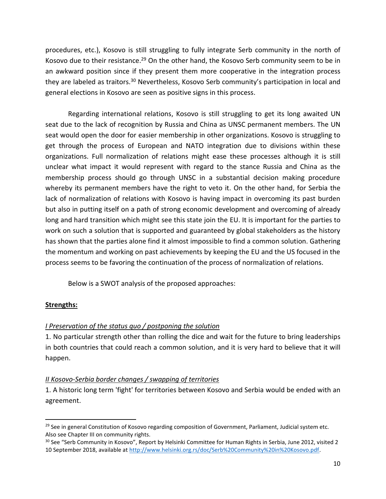procedures, etc.), Kosovo is still struggling to fully integrate Serb community in the north of Kosovo due to their resistance.<sup>29</sup> On the other hand, the Kosovo Serb community seem to be in an awkward position since if they present them more cooperative in the integration process they are labeled as traitors.<sup>30</sup> Nevertheless, Kosovo Serb community's participation in local and general elections in Kosovo are seen as positive signs in this process.

Regarding international relations, Kosovo is still struggling to get its long awaited UN seat due to the lack of recognition by Russia and China as UNSC permanent members. The UN seat would open the door for easier membership in other organizations. Kosovo is struggling to get through the process of European and NATO integration due to divisions within these organizations. Full normalization of relations might ease these processes although it is still unclear what impact it would represent with regard to the stance Russia and China as the membership process should go through UNSC in a substantial decision making procedure whereby its permanent members have the right to veto it. On the other hand, for Serbia the lack of normalization of relations with Kosovo is having impact in overcoming its past burden but also in putting itself on a path of strong economic development and overcoming of already long and hard transition which might see this state join the EU. It is important for the parties to work on such a solution that is supported and guaranteed by global stakeholders as the history has shown that the parties alone find it almost impossible to find a common solution. Gathering the momentum and working on past achievements by keeping the EU and the US focused in the process seems to be favoring the continuation of the process of normalization of relations.

Below is a SWOT analysis of the proposed approaches:

# **Strengths:**

# *I Preservation of the status quo / postponing the solution*

1. No particular strength other than rolling the dice and wait for the future to bring leaderships in both countries that could reach a common solution, and it is very hard to believe that it will happen.

#### *II Kosovo-Serbia border changes / swapping of territories*

1. A historic long term 'fight' for territories between Kosovo and Serbia would be ended with an agreement.

<sup>&</sup>lt;sup>29</sup> See in general Constitution of Kosovo regarding composition of Government, Parliament, Judicial system etc. Also see Chapter III on community rights.

<sup>&</sup>lt;sup>30</sup> See "Serb Community in Kosovo", Report by Helsinki Committee for Human Rights in Serbia, June 2012, visited 2 10 September 2018, available at<http://www.helsinki.org.rs/doc/Serb%20Community%20in%20Kosovo.pdf>.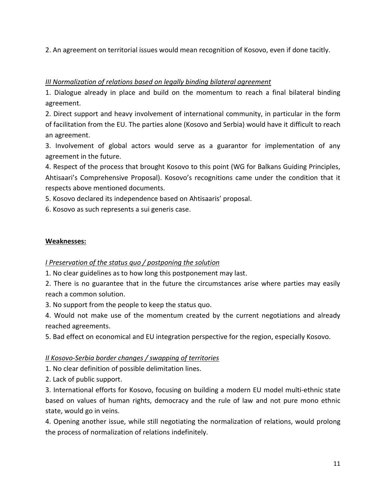2. An agreement on territorial issues would mean recognition of Kosovo, even if done tacitly.

#### *III Normalization of relations based on legally binding bilateral agreement*

1. Dialogue already in place and build on the momentum to reach a final bilateral binding agreement.

2. Direct support and heavy involvement of international community, in particular in the form of facilitation from the EU. The parties alone (Kosovo and Serbia) would have it difficult to reach an agreement.

3. Involvement of global actors would serve as a guarantor for implementation of any agreement in the future.

4. Respect of the process that brought Kosovo to this point (WG for Balkans Guiding Principles, Ahtisaari's Comprehensive Proposal). Kosovo's recognitions came under the condition that it respects above mentioned documents.

5. Kosovo declared its independence based on Ahtisaaris' proposal.

6. Kosovo as such represents a sui generis case.

#### **Weaknesses:**

# *I Preservation of the status quo / postponing the solution*

1. No clear guidelines as to how long this postponement may last.

2. There is no guarantee that in the future the circumstances arise where parties may easily reach a common solution.

3. No support from the people to keep the status quo.

4. Would not make use of the momentum created by the current negotiations and already reached agreements.

5. Bad effect on economical and EU integration perspective for the region, especially Kosovo.

# *II Kosovo-Serbia border changes / swapping of territories*

1. No clear definition of possible delimitation lines.

2. Lack of public support.

3. International efforts for Kosovo, focusing on building a modern EU model multi-ethnic state based on values of human rights, democracy and the rule of law and not pure mono ethnic state, would go in veins.

4. Opening another issue, while still negotiating the normalization of relations, would prolong the process of normalization of relations indefinitely.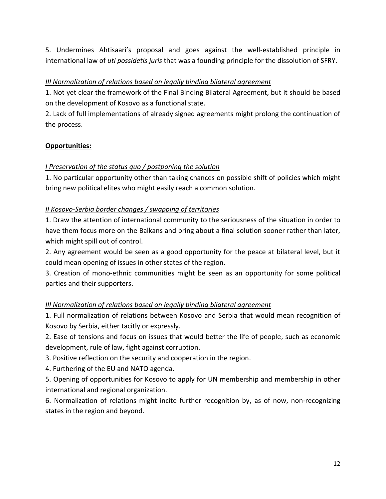5. Undermines Ahtisaari's proposal and goes against the well-established principle in international law of *uti possidetis juris* that was a founding principle for the dissolution of SFRY.

## *III Normalization of relations based on legally binding bilateral agreement*

1. Not yet clear the framework of the Final Binding Bilateral Agreement, but it should be based on the development of Kosovo as a functional state.

2. Lack of full implementations of already signed agreements might prolong the continuation of the process.

#### **Opportunities:**

#### *I Preservation of the status quo / postponing the solution*

1. No particular opportunity other than taking chances on possible shift of policies which might bring new political elites who might easily reach a common solution.

#### *II Kosovo-Serbia border changes / swapping of territories*

1. Draw the attention of international community to the seriousness of the situation in order to have them focus more on the Balkans and bring about a final solution sooner rather than later, which might spill out of control.

2. Any agreement would be seen as a good opportunity for the peace at bilateral level, but it could mean opening of issues in other states of the region.

3. Creation of mono-ethnic communities might be seen as an opportunity for some political parties and their supporters.

# *III Normalization of relations based on legally binding bilateral agreement*

1. Full normalization of relations between Kosovo and Serbia that would mean recognition of Kosovo by Serbia, either tacitly or expressly.

2. Ease of tensions and focus on issues that would better the life of people, such as economic development, rule of law, fight against corruption.

3. Positive reflection on the security and cooperation in the region.

4. Furthering of the EU and NATO agenda.

5. Opening of opportunities for Kosovo to apply for UN membership and membership in other international and regional organization.

6. Normalization of relations might incite further recognition by, as of now, non-recognizing states in the region and beyond.